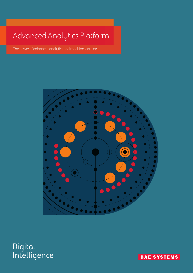### Advanced Analytics Platform

The power of enhanced analytics and machine learning



#### **Digital Intelligence**

**BAE SYSTEMS**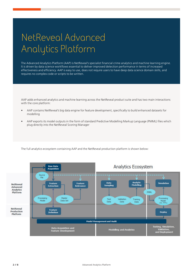## NetReveal Advanced Analytics Platform

The Advanced Analytics Platform (AAP) is NetReveal's specialist financial crime analytics and machine learning engine. It is driven by data science workflows essential to deliver improved detection performance in terms of increased effectiveness and efficiency. AAP is easy to use, does not require users to have deep data science domain skills, and requires no complex code or scripts to be written.

AAP adds enhanced analytics and machine learning across the NetReveal product suite and has two main interactions with the core platform:

- AAP contains NetReveal's big data engine for feature development, specifically to build enhanced datasets for modelling
- AAP exports its model outputs in the form of standard Predictive Modelling Markup Language (PMML) files which plug directly into the NetReveal Scoring Manager

The full analytics ecosystem containing AAP and the NetReveal production platform is shown below:

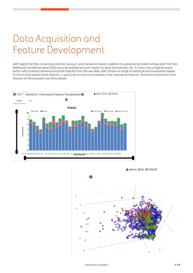### Data Acquisition and Feature Development

AAP ingests flat files containing customer, account, and transaction data in addition to a processing model configuration file from NetReveal that defines what fields are to be profiled and with respect to what time periods, etc. It is then very straightforward within AAP to extract behavioural profile features from the raw data. AAP contains a range of statistical and visualisation-based functions that explore these features, in particular to remove correlated or low importance features. Illustrative screenshots from this part of the ecosystem are show below:



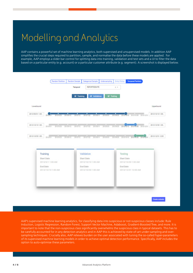# Modelling and Analytics

AAP contains a powerful set of machine learning analytics, both supervised and unsupervised models. In addition AAP simplifies the crucial steps required to partition, sample, and normalise the data before these models are applied. For example, AAP employs a slider bar control for splitting data into training, validation and test sets and a UI to filter the data based on a particular entity (e.g. account) or a particular customer attribute (e.g. segment). A screenshot is displayed below.



AAP's supervised machine learning analytics, for classifying data into suspicious or not-suspicious classes include: Rule Induction, Logistic Regression, Random Forest, Support Vector Machine, Adaboost, Gradient-Boosted Tree, and more. It is important to note that the non-suspicious class significantly overwhelms the suspicious class in typical datasets. This has to be carefully accounted for in any detection analytics and in AAP this is achieved by state-of-art under-sampling and oversampling techniques. Crucially also, AAP relieves burden on the user associated with tuning the so-called hyper-parameters of its supervised machine learning models in order to achieve optimal detection performance. Specifically, AAP includes the option to auto-optimise these parameters.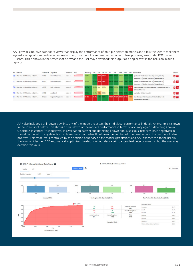AAP provides intuitive dashboard views that display the performance of multiple detection models and allow the user to rank them against a range of standard detection metrics, e.g. number of false positives, number of true positives, area under ROC curve, F1 score. This is shown in the screenshot below and the user may download this output as a png or csv file for inclusion in audit reports.

| <b>ID</b> Dataset                  | Featureset | Algorithm              | Validation ROC | Accuracy | TP%              | FP% FP:TP     | F1 | F2                            | FO.5 | <b>MCC</b> | <b>AUC</b> | <b>Parameters</b>                                                                                           | <b>Actions</b> |
|------------------------------------|------------|------------------------|----------------|----------|------------------|---------------|----|-------------------------------|------|------------|------------|-------------------------------------------------------------------------------------------------------------|----------------|
| 18 May-Aug 2014-training-subset-8  | info50     | <b>Neural Networks</b> | $cross-5$      | 92.4%    |                  | 111 42% 0.468 |    | 57.3% 67.9% 0.633             |      |            |            | Epochs: 200 Hidden Layer Size: 20 Learning Rate: -1<br>Momentum: 0.9 Scaling: Standardize Weight Decay: - 6 | ôF             |
| 17 May-Aug 2014-training-subset-8  | info50     | Neural Networks        | cross-5        | 92.5%    |                  | 42% 0.461     |    |                               |      |            |            | Epochs: 200 Hidden Layer Size: 10 Learning Rate: -1<br>Momentum: 0.9 Scaling: Standardize Weight Decay: - 6 | û۵             |
| 16 May-Aug 2014-training-subset-8. | info50     | Rule Induction         | $cross-5$      | 12.7%    | 60.5% 3% 0.368   |               |    |                               |      |            |            | Check Error Rate: true   Grow/Prune Folds: 3   Optimization Runs: 2<br>Optimize Rules: true                 | ôF             |
| 15 May-Aug 2014-training-subset-8  | info50     | AdaBoost               | cross-5        | 2.6%     | 61.4% 3.2% 0.385 |               |    |                               |      |            |            | Leaf Nodes: 10 Num Trees: 50                                                                                | û۵             |
| 14 May-Aug 2014-training-subset-8  | Default    | Logistic Regression    | $cross-5$      | 91.3%    | 36.9% 1.5% 0.296 |               |    | 49.9% 41.2% 63.3% 0.495 0.822 |      |            |            | Cost Minimizer, BFGS   Iterations: 1000   Min Delta: 0.001  <br>Regularization Coefficient: -?              | ôF             |

AAP also includes a drill-down view into any of the models to assess their individual performance in detail. An example is shown in the screenshot below. This shows a breakdown of the model's performance in terms of accuracy against detecting known suspicious instances (true positives) in a validation dataset and detecting known non-suspicious instances (true negatives) in the validation set. In any detection problem there is a trade-off between the number of true positives and the number of false positives. This trade-off is controlled by the decision boundary on the model's predictions and AAP exposes this to the user in the form a slider bar. AAP automatically optimises the decision boundary against a standard detection metric, but the user may override this value.

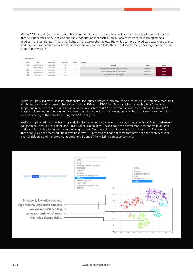When AAP has built (or trained) a number of models they can be tested on fresh (or test) data. It is important to note that AAP generates white-box and auditable explanations for each suspicious event its machine learning models predict in the test dataset. This is highlighted in the screenshot below. Shown is a sample of predicted suspicious events and the features / feature values that the model has determined to be the most discriminating ones together with their importance weights**.**

| <b>Top Predictions</b> |                  |                     |                    |         |         |                                         |            |        |
|------------------------|------------------|---------------------|--------------------|---------|---------|-----------------------------------------|------------|--------|
| RowID                  | Key              | <b>Target Class</b> | <b>Probability</b> | Reasons | Reasons |                                         |            |        |
| 146                    | TXN-387-20090120 | S. AML. AL. 002     | 0.89               |         |         | Feature                                 | Value      | Weight |
| 177                    | TXN-237-20090121 | S_AML_AL_002        | 0.87               |         |         | ExternalCreditMaximum.max.month.present | 3048041.26 | 17.49  |
| 677                    | <b>TXN151599</b> | S_AMIL_AL_002       | 0.87               |         |         |                                         |            |        |
| 254                    | TXN-208-20090123 | S_AMIL_AL_002       | 0.87               |         |         | ExternalCreditAmount.acc.week.present   | 3048041.26 | 17.43  |
| 592                    | <b>TXN151416</b> | S_AML_AL_002        | 0.86               |         |         | CashCreditAmount14.acc.day.total        | 3048041.26 | 16.27  |

AAP's unsupervised machine learning analytics, for segmenting data into groups of clusters, e.g. customers who exhibit similar transactional patterns of behaviour, include: K-Means, DBSCAN, Gaussian Mixture Model, Self-Organising Maps, and more. An example of a set of behavioural clusters that AAP discovered in a dataset is shown below. In AAP it is possible to not only determine the clusters (in this case using the K-Means analytic) but also to visualise them via a 2-D embedding of the data (here using the t-SNE analytic).

AAP's unsupervised machine learning analytics, for detecting outlier events in data, include: Isolation Forest, K-Nearest Neighbours, Local Outlier Factor, and Local Outlier Probabilities. These analytics discover statistical anomalies in data and provide details with regard the underlying features / feature values that gave rise to each anomaly. The use case for these analytics is the so called "unknown unknowns" – patterns of financial crime that have not been seen before or even anticipated and therefore not represented by any of the existing detection scenarios.

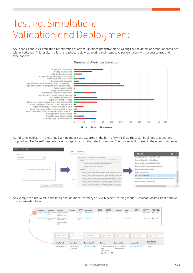## Testing, Simulation, Validation and Deployment

AAP enables one-click simulation-based testing of any of its trained predictive models alongside the detection scenarios contained within NetReveal. This results in a further dashboard view comparing their respective performances with respect to true and false positives.

#### **Number of Alerts per Detection**



As indicated earlier, AAP's machine learning models are exported in the form of PMML files. These can be simply dragged-anddropped into NetReveal's user interface for deployment in the detection engine. This process is illustrated in the screenshot below:

| Upload PMML Model                            |              |                                                                                                                                                                                                     |                                     |                                                        |  |       |   |
|----------------------------------------------|--------------|-----------------------------------------------------------------------------------------------------------------------------------------------------------------------------------------------------|-------------------------------------|--------------------------------------------------------|--|-------|---|
|                                              | <b>Tugan</b> | Classification                                                                                                                                                                                      |                                     |                                                        |  |       |   |
| Data Source                                  |              | Algorithm PMM.Classification                                                                                                                                                                        |                                     | $\vee$ Monthly                                         |  | - 0 × |   |
| Transaction<br>$\checkmark$                  |              | chal version").4" excellog="UIF-4" stanislator";es"2>                                                                                                                                               |                                     | <b>Intended Use Wires Debit Amount</b>                 |  |       |   |
|                                              |              | 4944, and now "http://www.deg.org/PHK-4,3" webscribitar/http://jpwd.org/jpwd-wodel/In<br>distanter's                                                                                                |                                     | Intended Use Wires Debit Count                         |  |       |   |
|                                              |              | Opplication name="BHE Systems Applied Intelligence Advanced Analytics Platful<br>«Extension name="projectName" value="Economies Sens"/>                                                             |                                     | Large credits compared with debits                     |  |       |   |
|                                              |              | «Extension name"projectio" value="t"/><br>distancian name="tank23" value="83"/>                                                                                                                     | Large monthly cheque deposit amount |                                                        |  |       |   |
| Drag and drop to upload or browse for files. |              | <b>UNnellications</b><br>d. New Artist's                                                                                                                                                            |                                     | Large number of securities                             |  |       |   |
|                                              |              | <br>Catabictionary noderOfFieldov"(1"><br><br>distributed functions" require "statestand distributed" in a state bilate bilate in the first and                                                     |                                     | Many cash deposits                                     |  |       |   |
|                                              |              | <br>Cotafield name="ExternalCreditMacinus.nas.novih.present" optype="continuous"<br><br>Cutatinid name="xillmmunt.acc.month.pastl" optype="continuous" dutatype="dou                                |                                     | ML Task103PMML                                         |  |       |   |
|                                              | Summary      | <br>Cotalisid name="Internationalism\Dequebetitiesunt.acc.week.present" cotype=<br><br><br>                                                                                                         |                                     | Number of Security Purchases Highly Exceeding Number c |  |       |   |
|                                              |              | <br>Cuta*ix1d name="ChequaDabitheount1d_acc_day.total" cotype="continuous" data?<br>Rising trend in cash deposits<br>Constitute "month" consumed "Chas. Jos. Joseph Sate" (1997) and block the Sate |                                     |                                                        |  |       |   |
|                                              |              | Gatafield name="miraCraditions.cd.acc.month.present" optupe="continuus" data<br><br>Cuta'ield name="CashCreditHeount.acc.week.present" optype="continuous" data?                                    |                                     |                                                        |  |       |   |
| Cancel                                       |              | <br>dataTield name="WireCreditAmount.acc.day.total" optype="continuous" dataType                                                                                                                    |                                     |                                                        |  |       | ٠ |

An example of a user alert in NetReveal that has been scored by an AAP machine learning model (Gradient Boosted Tree) is shown in the screenshot below:

|   | Alert Identifier   Type/Sub-Type |          | Description                                                             | Age in days       | $\frac{\text{Assigned}}{\text{To}}$ | Main Customer          | Customer<br>Previously<br>Customer<br>Segment<br>Reported | Case Name     | <b>Status</b> | Main<br>Employee<br>Name | Organization<br>Unit | Related<br>Cases             | Other<br><b>Details</b> |
|---|----------------------------------|----------|-------------------------------------------------------------------------|-------------------|-------------------------------------|------------------------|-----------------------------------------------------------|---------------|---------------|--------------------------|----------------------|------------------------------|-------------------------|
|   | A2019112713201 AML - Suspicious  | Activity | Gradient Boosted Tree<br>$class = 1.0$<br>Confidence = $0.8 - \Box$     |                   | 61 System<br>User                   | <b>Bob's Warehouse</b> | 51<br>No                                                  |               | Triage        |                          | North America        | GHD                          | G                       |
| O | A2019112713202 AML - Suspicious  | Activity | D503: Cash deposit =<br>21000.0 euro<br>Threshold = 15000<br>$\bigcirc$ |                   | 61 Assign to<br>me                  | Jack's Restaurant      | 51<br>No                                                  |               | Hibernated    |                          | North America        | (90)                         | <b>GB</b>               |
|   |                                  |          | Type a value                                                            | from<br>to        |                                     | Type a value           | Type a value                                              | Type a value  |               | Type a value             |                      | Type a value                 |                         |
|   |                                  |          | <b>Time Period</b>                                                      | <b>Event Date</b> |                                     | Transaction ID         | Reason                                                    | Scenario Name |               | Account ID               |                      | Contributing<br>Transactions |                         |